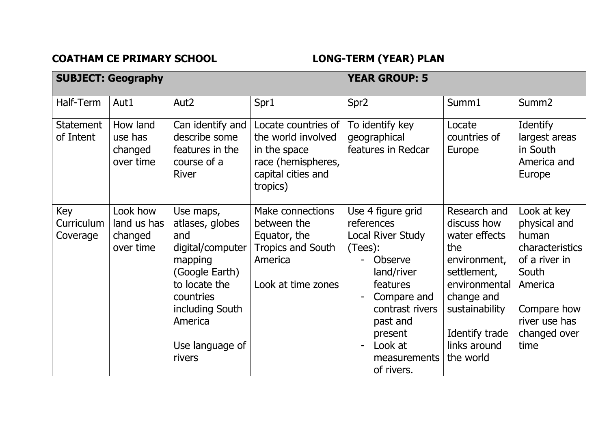COATHAM CE PRIMARY SCHOOL **LONG-TERM** (YEAR) PLAN

|                               | <b>SUBJECT: Geography</b>                       |                                                                                                                                                                               | <b>YEAR GROUP: 5</b>                                                                                              |                                                                                                                                                                                                        |                                                                                                                                                                                    |                                                                                                                                                      |
|-------------------------------|-------------------------------------------------|-------------------------------------------------------------------------------------------------------------------------------------------------------------------------------|-------------------------------------------------------------------------------------------------------------------|--------------------------------------------------------------------------------------------------------------------------------------------------------------------------------------------------------|------------------------------------------------------------------------------------------------------------------------------------------------------------------------------------|------------------------------------------------------------------------------------------------------------------------------------------------------|
| Half-Term                     | Aut1                                            | Aut <sub>2</sub>                                                                                                                                                              | Spr1                                                                                                              | Spr <sub>2</sub>                                                                                                                                                                                       | Summ1                                                                                                                                                                              | Summ <sub>2</sub>                                                                                                                                    |
| <b>Statement</b><br>of Intent | How land<br>use has<br>changed<br>over time     | Can identify and<br>describe some<br>features in the<br>course of a<br><b>River</b>                                                                                           | Locate countries of<br>the world involved<br>in the space<br>race (hemispheres,<br>capital cities and<br>tropics) | To identify key<br>geographical<br>features in Redcar                                                                                                                                                  | Locate<br>countries of<br>Europe                                                                                                                                                   | <b>Identify</b><br>largest areas<br>in South<br>America and<br>Europe                                                                                |
| Key<br>Curriculum<br>Coverage | Look how<br>land us has<br>changed<br>over time | Use maps,<br>atlases, globes<br>and<br>digital/computer<br>mapping<br>(Google Earth)<br>to locate the<br>countries<br>including South<br>America<br>Use language of<br>rivers | Make connections<br>between the<br>Equator, the<br><b>Tropics and South</b><br>America<br>Look at time zones      | Use 4 figure grid<br>references<br>Local River Study<br>(Tees):<br>Observe<br>land/river<br>features<br>Compare and<br>contrast rivers<br>past and<br>present<br>Look at<br>measurements<br>of rivers. | Research and<br>discuss how<br>water effects<br>the<br>environment,<br>settlement,<br>environmental<br>change and<br>sustainability<br>Identify trade<br>links around<br>the world | Look at key<br>physical and<br>human<br>characteristics<br>of a river in<br>South<br>America<br>Compare how<br>river use has<br>changed over<br>time |